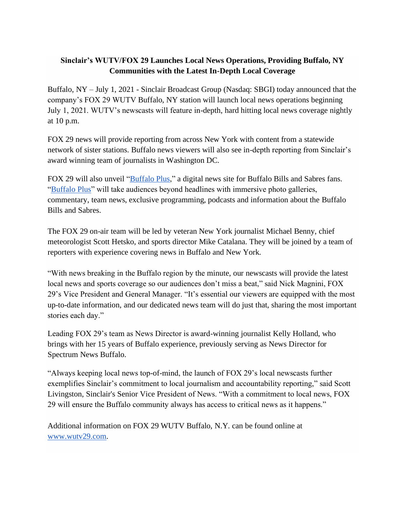## **Sinclair's WUTV/FOX 29 Launches Local News Operations, Providing Buffalo, NY Communities with the Latest In-Depth Local Coverage**

Buffalo, NY – July 1, 2021 - Sinclair Broadcast Group (Nasdaq: SBGI) today announced that the company's FOX 29 WUTV Buffalo, NY station will launch local news operations beginning July 1, 2021. WUTV's newscasts will feature in-depth, hard hitting local news coverage nightly at 10 p.m.

FOX 29 news will provide reporting from across New York with content from a statewide network of sister stations. Buffalo news viewers will also see in-depth reporting from Sinclair's award winning team of journalists in Washington DC.

FOX 29 will also unveil ["Buffalo Plus,](https://13wham.com/buffalo-plus)" a digital news site for Buffalo Bills and Sabres fans. ["Buffalo Plus"](https://13wham.com/buffalo-plus) will take audiences beyond headlines with immersive photo galleries, commentary, team news, exclusive programming, podcasts and information about the Buffalo Bills and Sabres.

The FOX 29 on-air team will be led by veteran New York journalist Michael Benny, chief meteorologist Scott Hetsko, and sports director Mike Catalana. They will be joined by a team of reporters with experience covering news in Buffalo and New York.

"With news breaking in the Buffalo region by the minute, our newscasts will provide the latest local news and sports coverage so our audiences don't miss a beat," said Nick Magnini, FOX 29's Vice President and General Manager. "It's essential our viewers are equipped with the most up-to-date information, and our dedicated news team will do just that, sharing the most important stories each day."

Leading FOX 29's team as News Director is award-winning journalist Kelly Holland, who brings with her 15 years of Buffalo experience, previously serving as News Director for Spectrum News Buffalo.

"Always keeping local news top-of-mind, the launch of FOX 29's local newscasts further exemplifies Sinclair's commitment to local journalism and accountability reporting," said Scott Livingston, Sinclair's Senior Vice President of News. "With a commitment to local news, FOX 29 will ensure the Buffalo community always has access to critical news as it happens."

Additional information on FOX 29 WUTV Buffalo, N.Y. can be found online at [www.wutv29.com.](http://www.wutv29.com/)